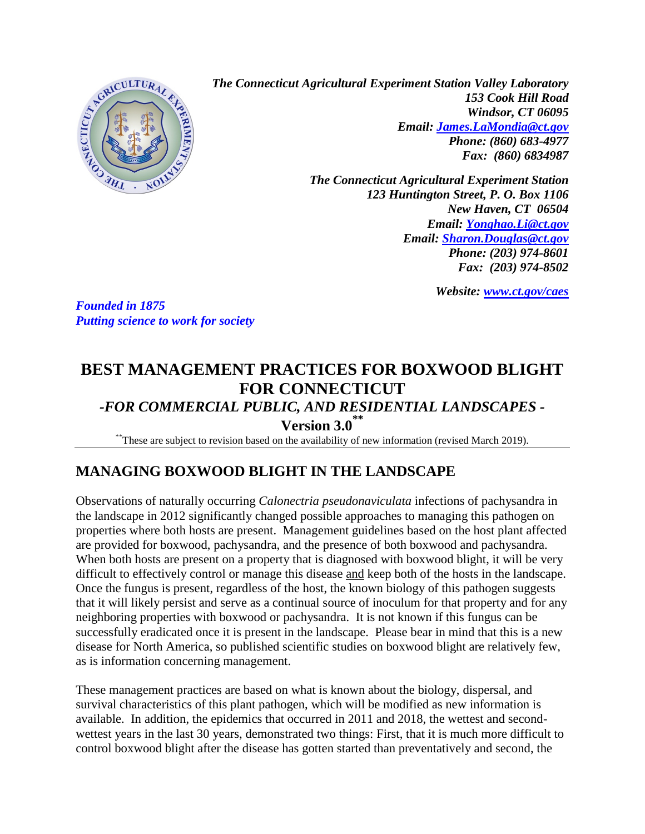

*The Connecticut Agricultural Experiment Station Valley Laboratory 153 Cook Hill Road Windsor, CT 06095 Email: [James.LaMondia@ct.gov](mailto:James.LaMondia@ct.gov) Phone: (860) 683-4977 Fax: (860) 6834987*

> *The Connecticut Agricultural Experiment Station 123 Huntington Street, P. O. Box 1106 New Haven, CT 06504 Email: [Yonghao.Li@ct.gov](mailto:Yonghao.Li@ct.gov) Email: [Sharon.Douglas@ct.gov](mailto:Sharon.Douglas@ct.gov) Phone: (203) 974-8601 Fax: (203) 974-8502*

> > *Website: [www.ct.gov/caes](http://www.ct.gov/caes)*

*Founded in 1875 Putting science to work for society* 

# **BEST MANAGEMENT PRACTICES FOR BOXWOOD BLIGHT FOR CONNECTICUT**

# *-FOR COMMERCIAL PUBLIC, AND RESIDENTIAL LANDSCAPES -*

**Version 3.0 \*\***

\*\*These are subject to revision based on the availability of new information (revised March 2019).

# **MANAGING BOXWOOD BLIGHT IN THE LANDSCAPE**

Observations of naturally occurring *Calonectria pseudonaviculata* infections of pachysandra in the landscape in 2012 significantly changed possible approaches to managing this pathogen on properties where both hosts are present. Management guidelines based on the host plant affected are provided for boxwood, pachysandra, and the presence of both boxwood and pachysandra. When both hosts are present on a property that is diagnosed with boxwood blight, it will be very difficult to effectively control or manage this disease and keep both of the hosts in the landscape. Once the fungus is present, regardless of the host, the known biology of this pathogen suggests that it will likely persist and serve as a continual source of inoculum for that property and for any neighboring properties with boxwood or pachysandra. It is not known if this fungus can be successfully eradicated once it is present in the landscape. Please bear in mind that this is a new disease for North America, so published scientific studies on boxwood blight are relatively few, as is information concerning management.

These management practices are based on what is known about the biology, dispersal, and survival characteristics of this plant pathogen, which will be modified as new information is available. In addition, the epidemics that occurred in 2011 and 2018, the wettest and secondwettest years in the last 30 years, demonstrated two things: First, that it is much more difficult to control boxwood blight after the disease has gotten started than preventatively and second, the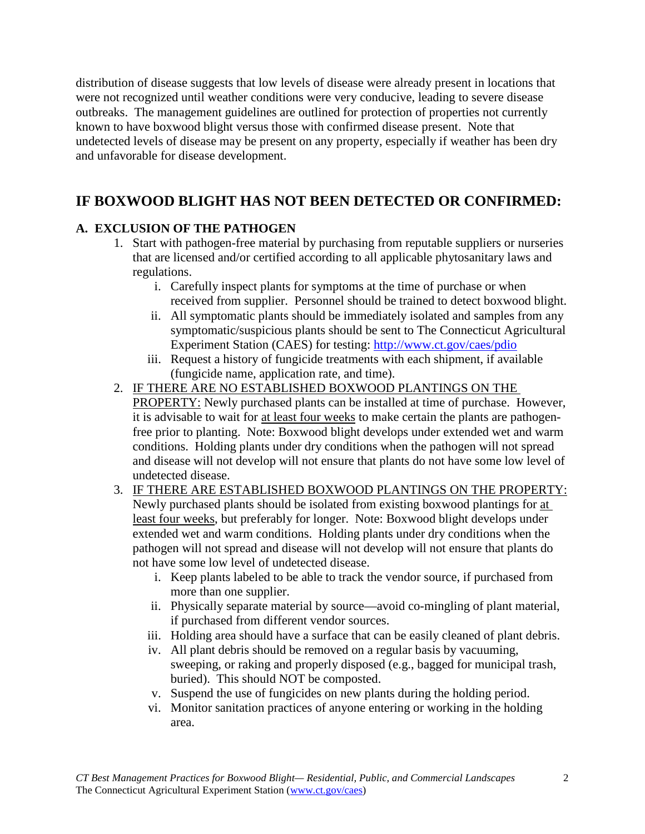distribution of disease suggests that low levels of disease were already present in locations that were not recognized until weather conditions were very conducive, leading to severe disease outbreaks. The management guidelines are outlined for protection of properties not currently known to have boxwood blight versus those with confirmed disease present. Note that undetected levels of disease may be present on any property, especially if weather has been dry and unfavorable for disease development.

# **IF BOXWOOD BLIGHT HAS NOT BEEN DETECTED OR CONFIRMED:**

### **A. EXCLUSION OF THE PATHOGEN**

- 1. Start with pathogen-free material by purchasing from reputable suppliers or nurseries that are licensed and/or certified according to all applicable phytosanitary laws and regulations.
	- i. Carefully inspect plants for symptoms at the time of purchase or when received from supplier. Personnel should be trained to detect boxwood blight.
	- ii. All symptomatic plants should be immediately isolated and samples from any symptomatic/suspicious plants should be sent to The Connecticut Agricultural Experiment Station (CAES) for testing:<http://www.ct.gov/caes/pdio>
	- iii. Request a history of fungicide treatments with each shipment, if available (fungicide name, application rate, and time).
- 2. IF THERE ARE NO ESTABLISHED BOXWOOD PLANTINGS ON THE PROPERTY: Newly purchased plants can be installed at time of purchase. However, it is advisable to wait for at least four weeks to make certain the plants are pathogenfree prior to planting. Note: Boxwood blight develops under extended wet and warm conditions. Holding plants under dry conditions when the pathogen will not spread and disease will not develop will not ensure that plants do not have some low level of undetected disease.
- 3. IF THERE ARE ESTABLISHED BOXWOOD PLANTINGS ON THE PROPERTY: Newly purchased plants should be isolated from existing boxwood plantings for at least four weeks, but preferably for longer. Note: Boxwood blight develops under extended wet and warm conditions. Holding plants under dry conditions when the pathogen will not spread and disease will not develop will not ensure that plants do not have some low level of undetected disease.
	- i. Keep plants labeled to be able to track the vendor source, if purchased from more than one supplier.
	- ii. Physically separate material by source—avoid co-mingling of plant material, if purchased from different vendor sources.
	- iii. Holding area should have a surface that can be easily cleaned of plant debris.
	- iv. All plant debris should be removed on a regular basis by vacuuming, sweeping, or raking and properly disposed (e.g., bagged for municipal trash, buried). This should NOT be composted.
	- v. Suspend the use of fungicides on new plants during the holding period.
	- vi. Monitor sanitation practices of anyone entering or working in the holding area.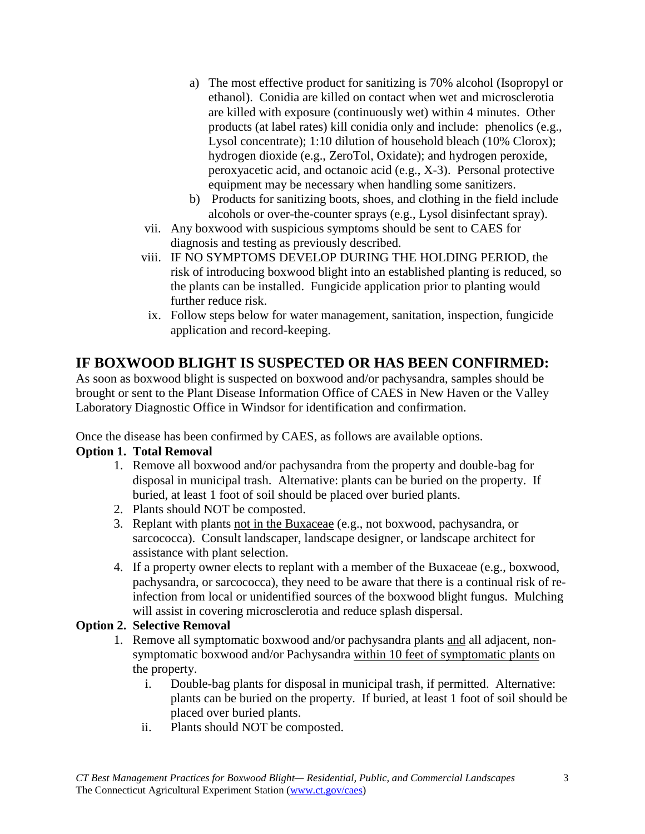- a) The most effective product for sanitizing is 70% alcohol (Isopropyl or ethanol). Conidia are killed on contact when wet and microsclerotia are killed with exposure (continuously wet) within 4 minutes. Other products (at label rates) kill conidia only and include: phenolics (e.g., Lysol concentrate); 1:10 dilution of household bleach (10% Clorox); hydrogen dioxide (e.g., ZeroTol, Oxidate); and hydrogen peroxide, peroxyacetic acid, and octanoic acid (e.g., X-3). Personal protective equipment may be necessary when handling some sanitizers.
- b) Products for sanitizing boots, shoes, and clothing in the field include alcohols or over-the-counter sprays (e.g., Lysol disinfectant spray).
- vii. Any boxwood with suspicious symptoms should be sent to CAES for diagnosis and testing as previously described.
- viii. IF NO SYMPTOMS DEVELOP DURING THE HOLDING PERIOD, the risk of introducing boxwood blight into an established planting is reduced, so the plants can be installed. Fungicide application prior to planting would further reduce risk.
- ix. Follow steps below for water management, sanitation, inspection, fungicide application and record-keeping.

# **IF BOXWOOD BLIGHT IS SUSPECTED OR HAS BEEN CONFIRMED:**

As soon as boxwood blight is suspected on boxwood and/or pachysandra, samples should be brought or sent to the Plant Disease Information Office of CAES in New Haven or the Valley Laboratory Diagnostic Office in Windsor for identification and confirmation.

Once the disease has been confirmed by CAES, as follows are available options.

#### **Option 1. Total Removal**

- 1. Remove all boxwood and/or pachysandra from the property and double-bag for disposal in municipal trash. Alternative: plants can be buried on the property. If buried, at least 1 foot of soil should be placed over buried plants.
- 2. Plants should NOT be composted.
- 3. Replant with plants not in the Buxaceae (e.g., not boxwood, pachysandra, or sarcococca). Consult landscaper, landscape designer, or landscape architect for assistance with plant selection.
- 4. If a property owner elects to replant with a member of the Buxaceae (e.g., boxwood, pachysandra, or sarcococca), they need to be aware that there is a continual risk of reinfection from local or unidentified sources of the boxwood blight fungus. Mulching will assist in covering microsclerotia and reduce splash dispersal.

#### **Option 2. Selective Removal**

- 1. Remove all symptomatic boxwood and/or pachysandra plants and all adjacent, nonsymptomatic boxwood and/or Pachysandra within 10 feet of symptomatic plants on the property.
	- i. Double-bag plants for disposal in municipal trash, if permitted. Alternative: plants can be buried on the property. If buried, at least 1 foot of soil should be placed over buried plants.
	- ii. Plants should NOT be composted.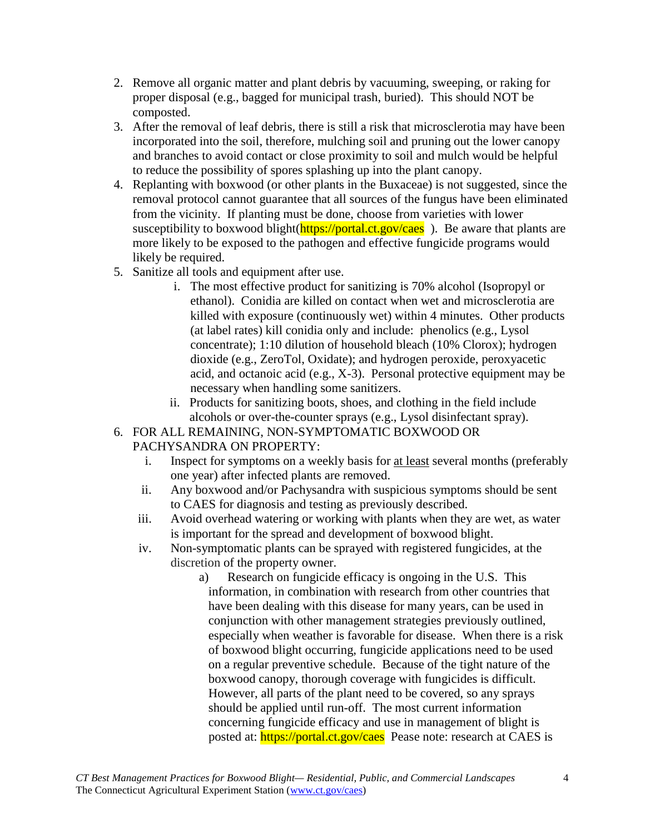- 2. Remove all organic matter and plant debris by vacuuming, sweeping, or raking for proper disposal (e.g., bagged for municipal trash, buried). This should NOT be composted.
- 3. After the removal of leaf debris, there is still a risk that microsclerotia may have been incorporated into the soil, therefore, mulching soil and pruning out the lower canopy and branches to avoid contact or close proximity to soil and mulch would be helpful to reduce the possibility of spores splashing up into the plant canopy.
- 4. Replanting with boxwood (or other plants in the Buxaceae) is not suggested, since the removal protocol cannot guarantee that all sources of the fungus have been eliminated from the vicinity. If planting must be done, choose from varieties with lower susceptibility to boxwood blight(**https://portal.ct.gov/caes**). Be aware that plants are more likely to be exposed to the pathogen and effective fungicide programs would likely be required.
- 5. Sanitize all tools and equipment after use.
	- i. The most effective product for sanitizing is 70% alcohol (Isopropyl or ethanol). Conidia are killed on contact when wet and microsclerotia are killed with exposure (continuously wet) within 4 minutes. Other products (at label rates) kill conidia only and include: phenolics (e.g., Lysol concentrate); 1:10 dilution of household bleach (10% Clorox); hydrogen dioxide (e.g., ZeroTol, Oxidate); and hydrogen peroxide, peroxyacetic acid, and octanoic acid (e.g., X-3). Personal protective equipment may be necessary when handling some sanitizers.
	- ii. Products for sanitizing boots, shoes, and clothing in the field include alcohols or over-the-counter sprays (e.g., Lysol disinfectant spray).
- 6. FOR ALL REMAINING, NON-SYMPTOMATIC BOXWOOD OR PACHYSANDRA ON PROPERTY:
	- i. Inspect for symptoms on a weekly basis for at least several months (preferably one year) after infected plants are removed.
	- ii. Any boxwood and/or Pachysandra with suspicious symptoms should be sent to CAES for diagnosis and testing as previously described.
	- iii. Avoid overhead watering or working with plants when they are wet, as water is important for the spread and development of boxwood blight.
	- iv. Non-symptomatic plants can be sprayed with registered fungicides, at the discretion of the property owner.
		- a) Research on fungicide efficacy is ongoing in the U.S. This information, in combination with research from other countries that have been dealing with this disease for many years, can be used in conjunction with other management strategies previously outlined, especially when weather is favorable for disease. When there is a risk of boxwood blight occurring, fungicide applications need to be used on a regular preventive schedule. Because of the tight nature of the boxwood canopy, thorough coverage with fungicides is difficult. However, all parts of the plant need to be covered, so any sprays should be applied until run-off. The most current information concerning fungicide efficacy and use in management of blight is posted at: https://portal.ct.gov/caes Pease note: research at CAES is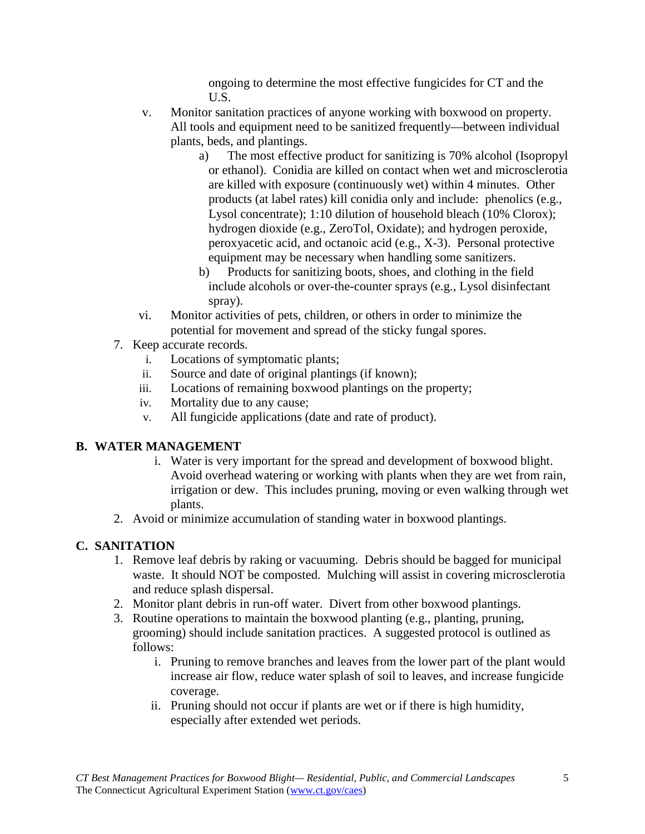ongoing to determine the most effective fungicides for CT and the U.S.

- v. Monitor sanitation practices of anyone working with boxwood on property. All tools and equipment need to be sanitized frequently—between individual plants, beds, and plantings.
	- a) The most effective product for sanitizing is 70% alcohol (Isopropyl or ethanol). Conidia are killed on contact when wet and microsclerotia are killed with exposure (continuously wet) within 4 minutes. Other products (at label rates) kill conidia only and include: phenolics (e.g., Lysol concentrate); 1:10 dilution of household bleach (10% Clorox); hydrogen dioxide (e.g., ZeroTol, Oxidate); and hydrogen peroxide, peroxyacetic acid, and octanoic acid (e.g., X-3). Personal protective equipment may be necessary when handling some sanitizers.
	- b) Products for sanitizing boots, shoes, and clothing in the field include alcohols or over-the-counter sprays (e.g., Lysol disinfectant spray).
- vi. Monitor activities of pets, children, or others in order to minimize the potential for movement and spread of the sticky fungal spores.
- 7. Keep accurate records.
	- i. Locations of symptomatic plants;
	- ii. Source and date of original plantings (if known);
	- iii. Locations of remaining boxwood plantings on the property;
	- iv. Mortality due to any cause;
	- v. All fungicide applications (date and rate of product).

## **B. WATER MANAGEMENT**

- i. Water is very important for the spread and development of boxwood blight. Avoid overhead watering or working with plants when they are wet from rain, irrigation or dew. This includes pruning, moving or even walking through wet plants.
- 2. Avoid or minimize accumulation of standing water in boxwood plantings.

## **C. SANITATION**

- 1. Remove leaf debris by raking or vacuuming. Debris should be bagged for municipal waste. It should NOT be composted. Mulching will assist in covering microsclerotia and reduce splash dispersal.
- 2. Monitor plant debris in run-off water. Divert from other boxwood plantings.
- 3. Routine operations to maintain the boxwood planting (e.g., planting, pruning, grooming) should include sanitation practices. A suggested protocol is outlined as follows:
	- i. Pruning to remove branches and leaves from the lower part of the plant would increase air flow, reduce water splash of soil to leaves, and increase fungicide coverage.
	- ii. Pruning should not occur if plants are wet or if there is high humidity, especially after extended wet periods.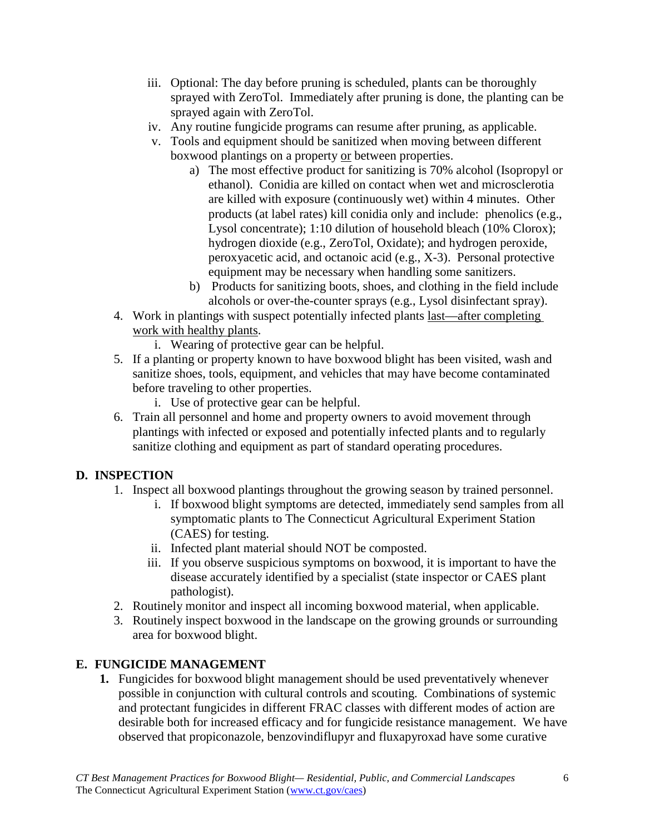- iii. Optional: The day before pruning is scheduled, plants can be thoroughly sprayed with ZeroTol. Immediately after pruning is done, the planting can be sprayed again with ZeroTol.
- iv. Any routine fungicide programs can resume after pruning, as applicable.
- v. Tools and equipment should be sanitized when moving between different boxwood plantings on a property or between properties.
	- a) The most effective product for sanitizing is 70% alcohol (Isopropyl or ethanol). Conidia are killed on contact when wet and microsclerotia are killed with exposure (continuously wet) within 4 minutes. Other products (at label rates) kill conidia only and include: phenolics (e.g., Lysol concentrate); 1:10 dilution of household bleach (10% Clorox); hydrogen dioxide (e.g., ZeroTol, Oxidate); and hydrogen peroxide, peroxyacetic acid, and octanoic acid (e.g., X-3). Personal protective equipment may be necessary when handling some sanitizers.
	- b) Products for sanitizing boots, shoes, and clothing in the field include alcohols or over-the-counter sprays (e.g., Lysol disinfectant spray).
- 4. Work in plantings with suspect potentially infected plants last—after completing work with healthy plants.
	- i. Wearing of protective gear can be helpful.
- 5. If a planting or property known to have boxwood blight has been visited, wash and sanitize shoes, tools, equipment, and vehicles that may have become contaminated before traveling to other properties.
	- i. Use of protective gear can be helpful.
- 6. Train all personnel and home and property owners to avoid movement through plantings with infected or exposed and potentially infected plants and to regularly sanitize clothing and equipment as part of standard operating procedures.

### **D. INSPECTION**

- 1. Inspect all boxwood plantings throughout the growing season by trained personnel.
	- i. If boxwood blight symptoms are detected, immediately send samples from all symptomatic plants to The Connecticut Agricultural Experiment Station (CAES) for testing.
	- ii. Infected plant material should NOT be composted.
	- iii. If you observe suspicious symptoms on boxwood, it is important to have the disease accurately identified by a specialist (state inspector or CAES plant pathologist).
- 2. Routinely monitor and inspect all incoming boxwood material, when applicable.
- 3. Routinely inspect boxwood in the landscape on the growing grounds or surrounding area for boxwood blight.

### **E. FUNGICIDE MANAGEMENT**

**1.** Fungicides for boxwood blight management should be used preventatively whenever possible in conjunction with cultural controls and scouting. Combinations of systemic and protectant fungicides in different FRAC classes with different modes of action are desirable both for increased efficacy and for fungicide resistance management. We have observed that propiconazole, benzovindiflupyr and fluxapyroxad have some curative